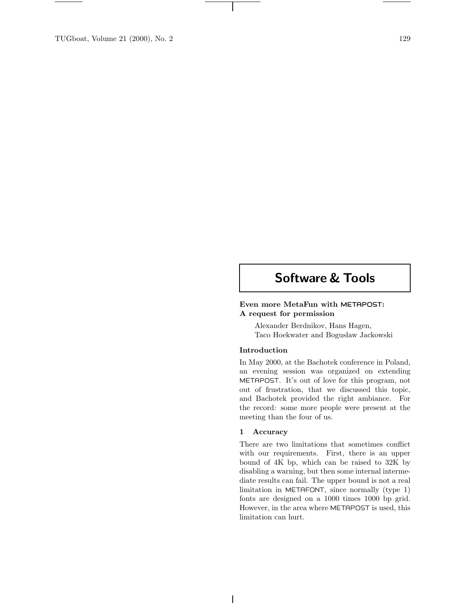# **Software & Tools**

## **Even more MetaFun with METAPOST: A request for permission**

Alexander Berdnikov, Hans Hagen, Taco Hoekwater and Bogusław Jackowski

### **Introduction**

In May 2000, at the Bachotek conference in Poland, an evening session was organized on extending METAPOST. It's out of love for this program, not out of frustration, that we discussed this topic, and Bachotek provided the right ambiance. For the record: some more people were present at the meeting than the four of us.

#### **1 Accuracy**

There are two limitations that sometimes conflict with our requirements. First, there is an upper bound of 4K bp, which can be raised to 32K by disabling a warning, but then some internal intermediate results can fail. The upper bound is not a real limitation in METAFONT, since normally (type 1) fonts are designed on a  $1000$  times  $1000$  bp grid. However, in the area where METAPOST isused, this limitation can hurt.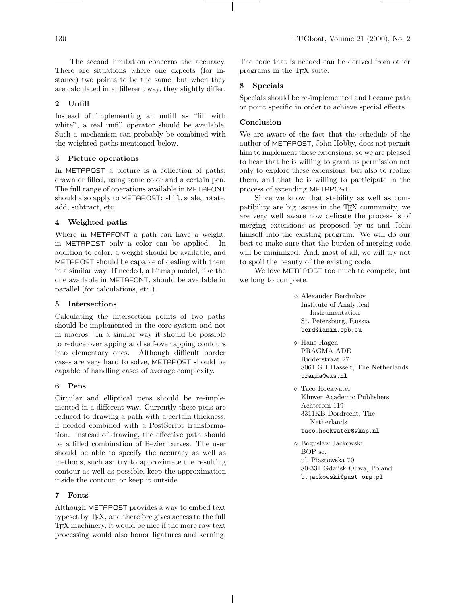The second limitation concerns the accuracy. There are situations where one expects (for instance) two points to be the same, but when they are calculated in a different way, they slightly differ.

### **2 Unfill**

Instead of implementing an unfill as "fill with white", a real unfill operator should be available. Such a mechanism can probably be combined with the weighted paths mentioned below.

#### **3 Picture operations**

In METAPOST a picture is a collection of paths, drawn or filled, using some color and a certain pen. The full range of operations available in METAFONT should also apply to METAPOST: shift, scale, rotate, add, subtract, etc.

### **4 Weighted paths**

Where in METAFONT a path can have a weight, in METAPOST only a color can be applied. In addition to color, a weight should be available, and METAPOST should be capable of dealing with them in a similar way. If needed, a bitmap model, like the one available in METAFONT, should be available in parallel (for calculations, etc.).

#### **5 Intersections**

Calculating the intersection points of two paths should be implemented in the core system and not in macros. In a similar way it should be possible to reduce overlapping and self-overlapping contours into elementary ones. Although difficult border cases are very hard to solve, METAPOST should be capable of handling cases of average complexity.

#### **6 Pens**

Circular and elliptical pensshould be re-implemented in a different way. Currently these pens are reduced to drawing a path with a certain thickness, if needed combined with a PostScript transformation. Instead of drawing, the effective path should be a filled combination of Bezier curves. The user should be able to specify the accuracy as well as methods, such as: try to approximate the resulting contour as well as possible, keep the approximation inside the contour, or keep it outside.

#### **7 Fonts**

Although METAPOST providesa way to embed text typeset by T<sub>EX</sub>, and therefore gives access to the full TEX machinery, it would be nice if the more raw text processing would also honor ligatures and kerning. The code that is needed can be derived from other programs in the T<sub>EX</sub> suite.

#### **8 Specials**

Specials should be re-implemented and become path or point specific in order to achieve special effects.

#### **Conclusion**

We are aware of the fact that the schedule of the author of METAPOST, John Hobby, doesnot permit him to implement these extensions, so we are pleased to hear that he is willing to grant us permission not only to explore these extensions, but also to realize them, and that he iswilling to participate in the process of extending METAPOST.

Since we know that stability as well as compatibility are big issues in the TEX community, we are very well aware how delicate the process is of merging extensions as proposed by us and John himself into the existing program. We will do our best to make sure that the burden of merging code will be minimized. And, most of all, we will try not to spoil the beauty of the existing code.

We love METAPOST too much to compete, but we long to complete.

- Alexander Berdnikov Institute of Analytical Instrumentation St. Petersburg, Russia berd@ianin.spb.su
- Hans Hagen PRAGMA ADE Ridderstraat 27 8061 GH Hasselt, The Netherlands pragma@wxs.nl
- $\diamond~$  Taco Hoekwater Kluwer Academic Publishers Achterom 119 3311KB Dordrecht, The Netherlands taco.hoekwater@wkap.nl
- $\diamond$ Bogusław Jackowski BOP sc. ul. Piastowska 70 80-331 Gdańsk Oliwa, Poland b.jackowski@gust.org.pl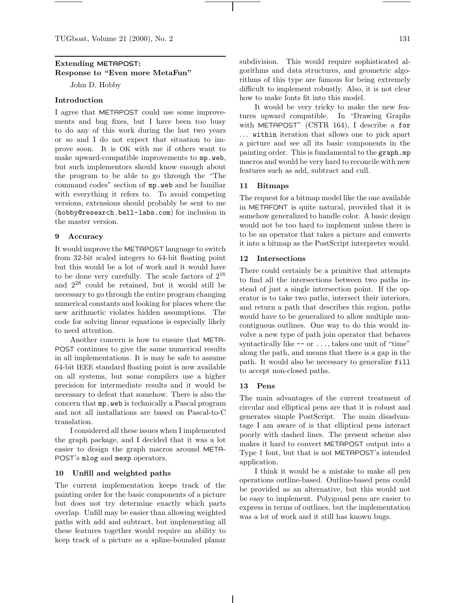TUGboat, Volume 21 (2000), No. 2 131

# **Extending METAPOST: Response to "Even more MetaFun"**

John D. Hobby

#### **Introduction**

I agree that METAPOST could use some improvements and bug fixes, but I have been too busy to do any of thiswork during the last two years or so and I do not expect that situation to improve soon. It is OK with me if others want to make upward-compatible improvements to mp.web, but such implementors should know enough about the program to be able to go through the "The command codes" section of mp.web and be familiar with everything it refers to. To avoid competing versions, extensions should probably be sent to me (hobby@research.bell-labs.com) for inclusion in the master version.

#### **9 Accuracy**

It would improve the METAPOST language to switch from 32-bit scaled integers to 64-bit floating point but thiswould be a lot of work and it would have to be done very carefully. The scale factors of  $2^{16}$ and  $2^{28}$  could be retained, but it would still be necessary to go through the entire program changing numerical constants and looking for places where the new arithmetic violates hidden assumptions. The code for solving linear equations is especially likely to need attention.

Another concern is how to ensure that META-POST continues to give the same numerical results in all implementations. It is may be safe to assume 64-bit IEEE standard floating point is now available on all systems, but some compilers use a higher precision for intermediate results and it would be necessary to defeat that somehow. There is also the concern that mp.web istechnically a Pascal program and not all installations are based on Pascal-to-C translation.

I considered all these issues when I implemented the graph package, and I decided that it was a lot easier to design the graph macros around META-POST's mlog and mexp operators.

#### **10 Unfill and weighted paths**

The current implementation keeps track of the painting order for the basic components of a picture but does not try determine exactly which parts overlap. Unfill may be easier than allowing weighted pathswith add and subtract, but implementing all these features together would require an ability to keep track of a picture as a spline-bounded planar

subdivision. This would require sophisticated algorithms and data structures, and geometric algorithms of this type are famous for being extremely difficult to implement robustly. Also, it is not clear how to make fonts fit into this model.

It would be very tricky to make the new features upward compatible. In "Drawing Graphs with METAPOST" (CSTR 164), I describe a for ... within iteration that allows one to pick apart a picture and see all its basic components in the painting order. This is fundamental to the graph.mp macrosand would be very hard to reconcile with new features such as add, subtract and cull.

#### **11 Bitmaps**

The request for a bitmap model like the one available in METAFONT is quite natural, provided that it is somehow generalized to handle color. A basic design would not be too hard to implement unless there is to be an operator that takes a picture and converts it into a bitmap asthe PostScript interpreter would.

#### **12 Intersections**

There could certainly be a primitive that attempts to find all the intersections between two paths instead of just a single intersection point. If the operator is to take two paths, intersect their interiors, and return a path that describes this region, paths would have to be generalized to allow multiple noncontiguous outlines. One way to do this would involve a new type of path join operator that behaves syntactically like  $-\circ$  or  $\dots$ , takes one unit of "time" along the path, and means that there is a gap in the path. It would also be necessary to generalize fill to accept non-closed paths.

#### **13 Pens**

The main advantages of the current treatment of circular and elliptical pensare that it isrobust and generates simple PostScript. The main disadvantage I am aware of is that elliptical pens interact poorly with dashed lines. The present scheme also makesit hard to convert METAPOST output into a Type 1 font, but that is not METAPOST's intended application.

I think it would be a mistake to make all pen operations outline-based. Outline-based pens could be provided as an alternative, but this would not be easy to implement. Polygonal pens are easier to express in terms of outlines, but the implementation was a lot of work and it still has known bugs.